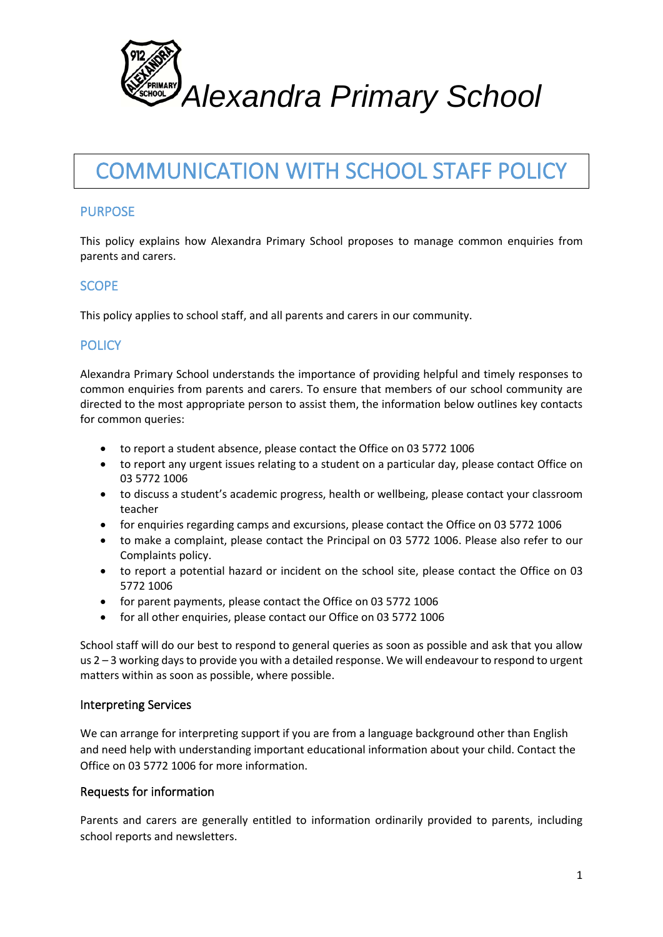

# COMMUNICATION WITH SCHOOL STAFF POLICY

# PURPOSE

This policy explains how Alexandra Primary School proposes to manage common enquiries from parents and carers.

# **SCOPE**

This policy applies to school staff, and all parents and carers in our community.

# **POLICY**

Alexandra Primary School understands the importance of providing helpful and timely responses to common enquiries from parents and carers. To ensure that members of our school community are directed to the most appropriate person to assist them, the information below outlines key contacts for common queries:

- to report a student absence, please contact the Office on 03 5772 1006
- to report any urgent issues relating to a student on a particular day, please contact Office on 03 5772 1006
- to discuss a student's academic progress, health or wellbeing, please contact your classroom teacher
- for enquiries regarding camps and excursions, please contact the Office on 03 5772 1006
- to make a complaint, please contact the Principal on 03 5772 1006. Please also refer to our Complaints policy.
- to report a potential hazard or incident on the school site, please contact the Office on 03 5772 1006
- for parent payments, please contact the Office on 03 5772 1006
- for all other enquiries, please contact our Office on 03 5772 1006

School staff will do our best to respond to general queries as soon as possible and ask that you allow us 2 – 3 working daysto provide you with a detailed response. We will endeavour to respond to urgent matters within as soon as possible, where possible.

#### Interpreting Services

We can arrange for interpreting support if you are from a language background other than English and need help with understanding important educational information about your child. Contact the Office on 03 5772 1006 for more information.

### Requests for information

Parents and carers are generally entitled to information ordinarily provided to parents, including school reports and newsletters.